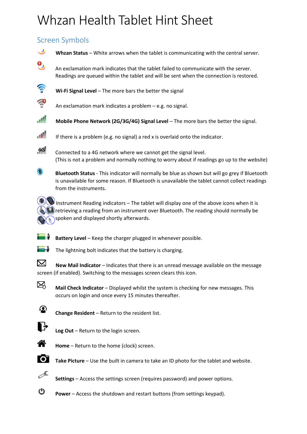# Whzan Health Tablet Hint Sheet

# Screen Symbols





**Settings** – Access the settings screen (requires password) and power options.



**Power** – Access the shutdown and restart buttons (from settings keypad).